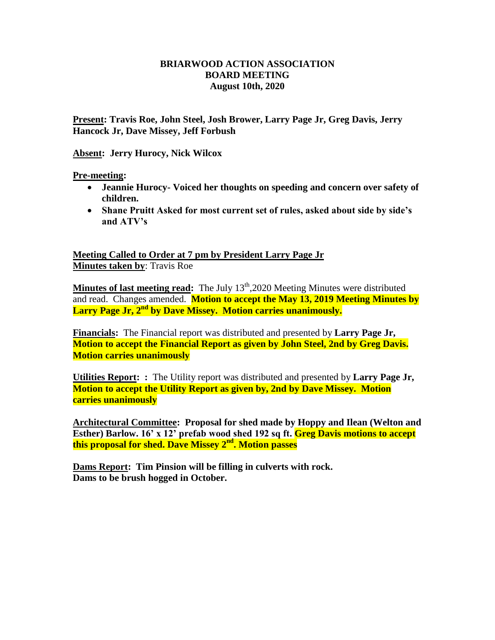## **BRIARWOOD ACTION ASSOCIATION BOARD MEETING August 10th, 2020**

**Present: Travis Roe, John Steel, Josh Brower, Larry Page Jr, Greg Davis, Jerry Hancock Jr, Dave Missey, Jeff Forbush**

**Absent: Jerry Hurocy, Nick Wilcox**

**Pre-meeting:** 

- **Jeannie Hurocy- Voiced her thoughts on speeding and concern over safety of children.**
- **Shane Pruitt Asked for most current set of rules, asked about side by side's and ATV's**

**Meeting Called to Order at 7 pm by President Larry Page Jr Minutes taken by**: Travis Roe

**Minutes of last meeting read:** The July 13<sup>th</sup>,2020 Meeting Minutes were distributed and read. Changes amended. **Motion to accept the May 13, 2019 Meeting Minutes by Larry Page Jr, 2nd by Dave Missey. Motion carries unanimously.**

**Financials:** The Financial report was distributed and presented by **Larry Page Jr, Motion to accept the Financial Report as given by John Steel, 2nd by Greg Davis. Motion carries unanimously** 

**Utilities Report: :** The Utility report was distributed and presented by **Larry Page Jr, Motion to accept the Utility Report as given by, 2nd by Dave Missey. Motion carries unanimously** 

**Architectural Committee: Proposal for shed made by Hoppy and Ilean (Welton and Esther) Barlow. 16' x 12' prefab wood shed 192 sq ft. Greg Davis motions to accept this proposal for shed. Dave Missey 2nd. Motion passes**

**Dams Report: Tim Pinsion will be filling in culverts with rock. Dams to be brush hogged in October.**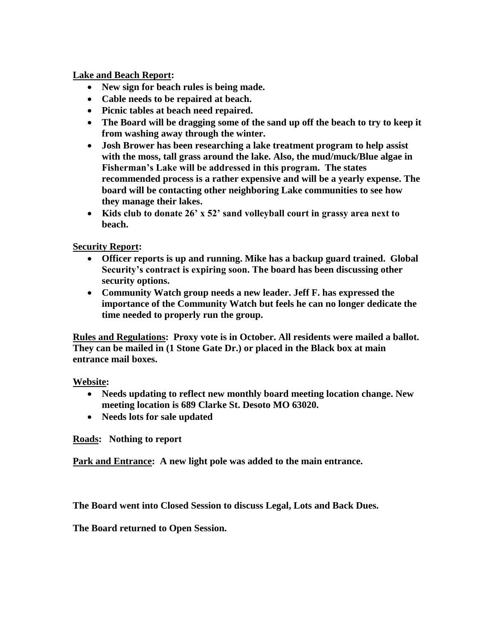**Lake and Beach Report:**

- **New sign for beach rules is being made.**
- **Cable needs to be repaired at beach.**
- **Picnic tables at beach need repaired.**
- **The Board will be dragging some of the sand up off the beach to try to keep it from washing away through the winter.**
- **Josh Brower has been researching a lake treatment program to help assist with the moss, tall grass around the lake. Also, the mud/muck/Blue algae in Fisherman's Lake will be addressed in this program. The states recommended process is a rather expensive and will be a yearly expense. The board will be contacting other neighboring Lake communities to see how they manage their lakes.**
- **Kids club to donate 26' x 52' sand volleyball court in grassy area next to beach.**

**Security Report:** 

- **Officer reports is up and running. Mike has a backup guard trained. Global Security's contract is expiring soon. The board has been discussing other security options.**
- **Community Watch group needs a new leader. Jeff F. has expressed the importance of the Community Watch but feels he can no longer dedicate the time needed to properly run the group.**

**Rules and Regulations: Proxy vote is in October. All residents were mailed a ballot. They can be mailed in (1 Stone Gate Dr.) or placed in the Black box at main entrance mail boxes.**

**Website:**

- **Needs updating to reflect new monthly board meeting location change. New meeting location is 689 Clarke St. Desoto MO 63020.**
- **Needs lots for sale updated**

**Roads: Nothing to report**

**Park and Entrance: A new light pole was added to the main entrance.**

**The Board went into Closed Session to discuss Legal, Lots and Back Dues.**

**The Board returned to Open Session.**